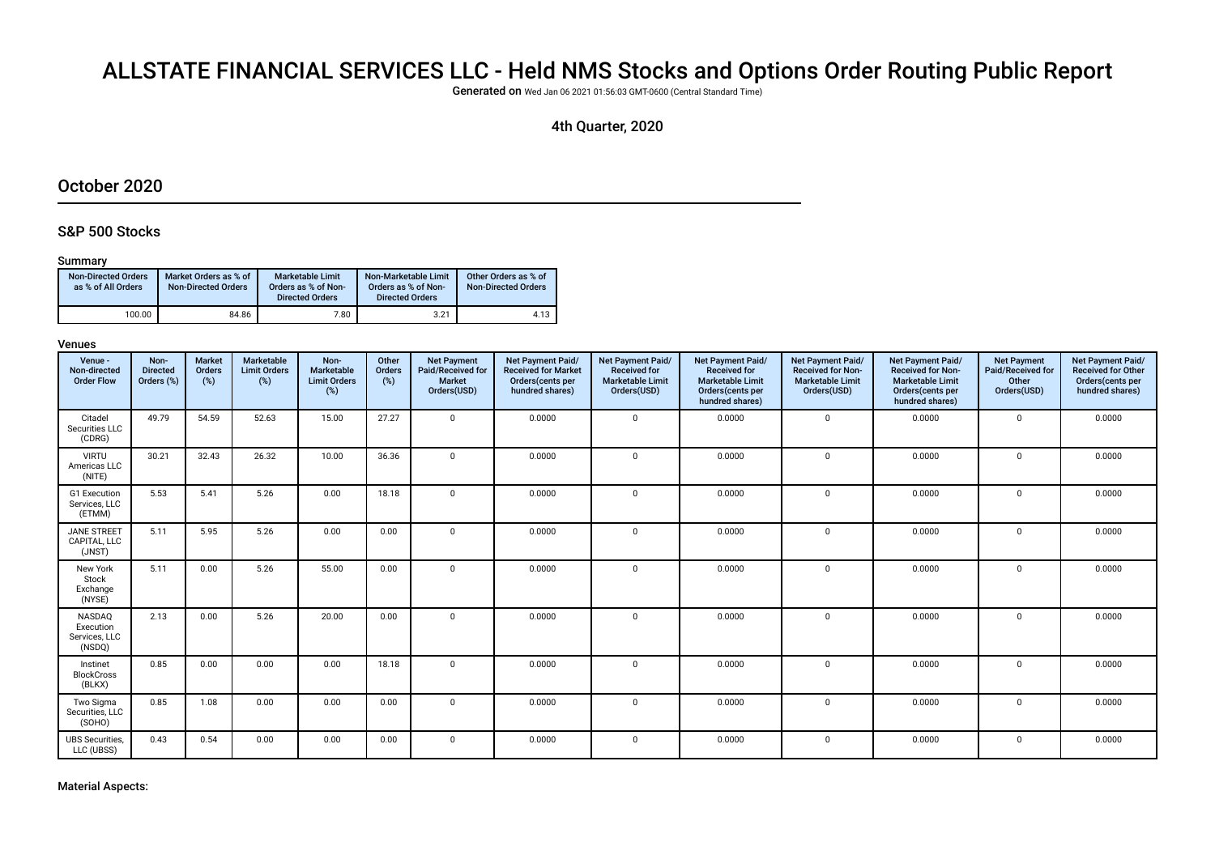# ALLSTATE FINANCIAL SERVICES LLC - Held NMS Stocks and Options Order Routing Public Report

Generated on Wed Jan 06 2021 01:56:03 GMT-0600 (Central Standard Time)

## 4th Quarter, 2020

## October 2020

### S&P 500 Stocks

### Summary

| <b>Non-Directed Orders</b><br>as % of All Orders | Market Orders as % of<br><b>Non-Directed Orders</b> | <b>Marketable Limit</b><br>Orders as % of Non-<br><b>Directed Orders</b> | Non-Marketable Limit<br>Orders as % of Non-<br><b>Directed Orders</b> | Other Orders as % of<br><b>Non-Directed Orders</b> |
|--------------------------------------------------|-----------------------------------------------------|--------------------------------------------------------------------------|-----------------------------------------------------------------------|----------------------------------------------------|
| 100.00                                           | 84.86                                               | 7.80                                                                     | 3.21                                                                  | 4.13                                               |

| Venue -<br>Non-directed<br><b>Order Flow</b>   | Non-<br><b>Directed</b><br>Orders (%) | <b>Market</b><br><b>Orders</b><br>(%) | <b>Marketable</b><br><b>Limit Orders</b><br>(%) | Non-<br>Marketable<br><b>Limit Orders</b><br>(%) | Other<br>Orders<br>(%) | <b>Net Payment</b><br>Paid/Received for<br>Market<br>Orders(USD) | Net Payment Paid/<br><b>Received for Market</b><br>Orders(cents per<br>hundred shares) | Net Payment Paid/<br><b>Received for</b><br><b>Marketable Limit</b><br>Orders(USD) | <b>Net Payment Paid/</b><br><b>Received for</b><br><b>Marketable Limit</b><br>Orders(cents per<br>hundred shares) | Net Payment Paid/<br><b>Received for Non-</b><br><b>Marketable Limit</b><br>Orders(USD) | <b>Net Payment Paid/</b><br><b>Received for Non-</b><br><b>Marketable Limit</b><br>Orders (cents per<br>hundred shares) | <b>Net Payment</b><br>Paid/Received for<br>Other<br>Orders(USD) | Net Payment Paid/<br><b>Received for Other</b><br>Orders(cents per<br>hundred shares) |
|------------------------------------------------|---------------------------------------|---------------------------------------|-------------------------------------------------|--------------------------------------------------|------------------------|------------------------------------------------------------------|----------------------------------------------------------------------------------------|------------------------------------------------------------------------------------|-------------------------------------------------------------------------------------------------------------------|-----------------------------------------------------------------------------------------|-------------------------------------------------------------------------------------------------------------------------|-----------------------------------------------------------------|---------------------------------------------------------------------------------------|
| Citadel<br>Securities LLC<br>(CDRG)            | 49.79                                 | 54.59                                 | 52.63                                           | 15.00                                            | 27.27                  | $\Omega$                                                         | 0.0000                                                                                 | $\Omega$                                                                           | 0.0000                                                                                                            | $\mathbf 0$                                                                             | 0.0000                                                                                                                  | 0                                                               | 0.0000                                                                                |
| <b>VIRTU</b><br>Americas LLC<br>(NITE)         | 30.21                                 | 32.43                                 | 26.32                                           | 10.00                                            | 36.36                  | $\overline{0}$                                                   | 0.0000                                                                                 | $\Omega$                                                                           | 0.0000                                                                                                            | $\mathbf 0$                                                                             | 0.0000                                                                                                                  | $\mathbf 0$                                                     | 0.0000                                                                                |
| G1 Execution<br>Services, LLC<br>(ETMM)        | 5.53                                  | 5.41                                  | 5.26                                            | 0.00                                             | 18.18                  | $\overline{0}$                                                   | 0.0000                                                                                 | $\Omega$                                                                           | 0.0000                                                                                                            | $\mathbf 0$                                                                             | 0.0000                                                                                                                  | 0                                                               | 0.0000                                                                                |
| <b>JANE STREET</b><br>CAPITAL, LLC<br>(JNST)   | 5.11                                  | 5.95                                  | 5.26                                            | 0.00                                             | 0.00                   | $\overline{0}$                                                   | 0.0000                                                                                 | $\Omega$                                                                           | 0.0000                                                                                                            | $\Omega$                                                                                | 0.0000                                                                                                                  | $\mathbf 0$                                                     | 0.0000                                                                                |
| New York<br>Stock<br>Exchange<br>(NYSE)        | 5.11                                  | 0.00                                  | 5.26                                            | 55.00                                            | 0.00                   | $\overline{0}$                                                   | 0.0000                                                                                 | $\mathbf{0}$                                                                       | 0.0000                                                                                                            | $\mathbf 0$                                                                             | 0.0000                                                                                                                  | 0                                                               | 0.0000                                                                                |
| NASDAQ<br>Execution<br>Services, LLC<br>(NSDQ) | 2.13                                  | 0.00                                  | 5.26                                            | 20.00                                            | 0.00                   | $\overline{0}$                                                   | 0.0000                                                                                 | $\Omega$                                                                           | 0.0000                                                                                                            | $\mathbf{0}$                                                                            | 0.0000                                                                                                                  | $\mathbf 0$                                                     | 0.0000                                                                                |
| Instinet<br><b>BlockCross</b><br>(BLKX)        | 0.85                                  | 0.00                                  | 0.00                                            | 0.00                                             | 18.18                  | $\mathbf{0}$                                                     | 0.0000                                                                                 | $\mathbf{0}$                                                                       | 0.0000                                                                                                            | $\mathbf 0$                                                                             | 0.0000                                                                                                                  | 0                                                               | 0.0000                                                                                |
| Two Sigma<br>Securities, LLC<br>(SOHO)         | 0.85                                  | 1.08                                  | 0.00                                            | 0.00                                             | 0.00                   | $\overline{0}$                                                   | 0.0000                                                                                 | $\Omega$                                                                           | 0.0000                                                                                                            | $\mathbf{0}$                                                                            | 0.0000                                                                                                                  | $\Omega$                                                        | 0.0000                                                                                |
| <b>UBS</b> Securities,<br>LLC (UBSS)           | 0.43                                  | 0.54                                  | 0.00                                            | 0.00                                             | 0.00                   | $\mathbf{0}$                                                     | 0.0000                                                                                 | $\mathbf 0$                                                                        | 0.0000                                                                                                            | $\mathbf 0$                                                                             | 0.0000                                                                                                                  | 0                                                               | 0.0000                                                                                |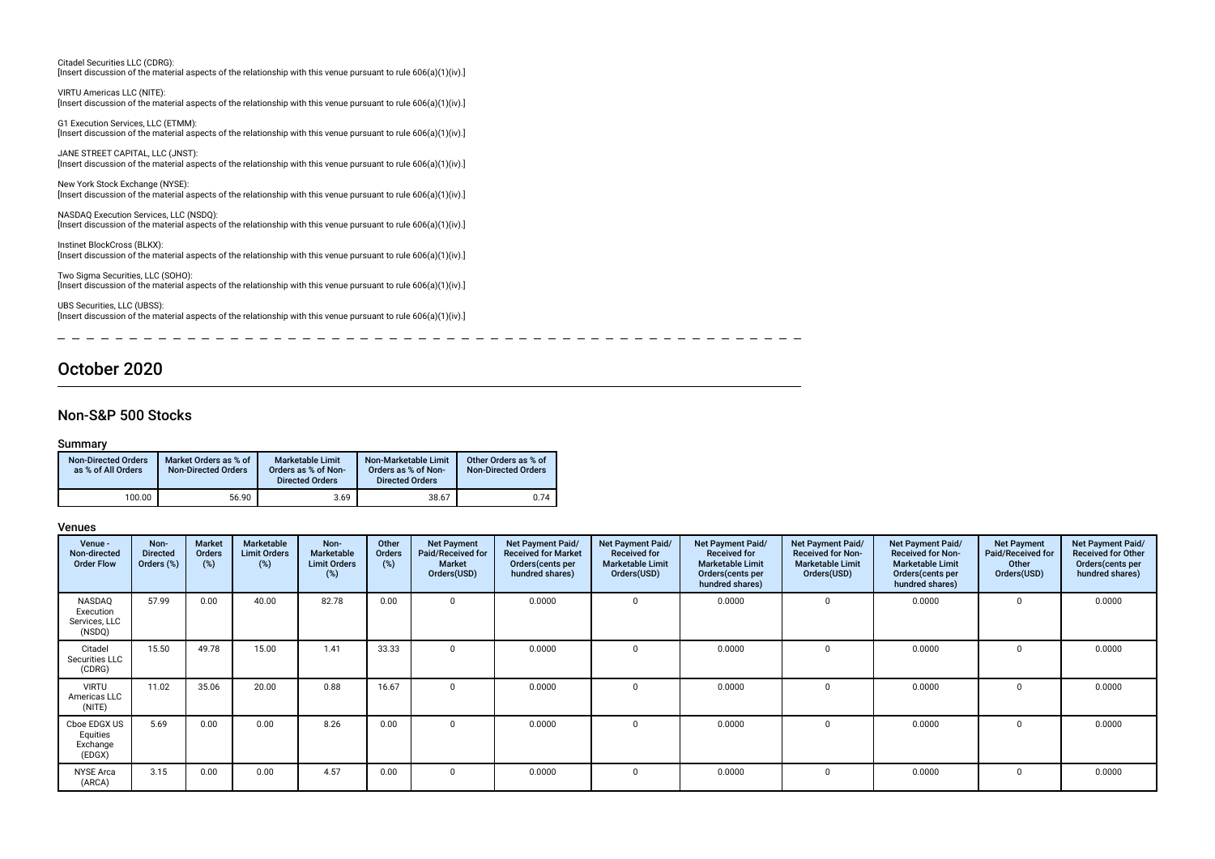| Citadel Securities LLC (CDRG):<br>[Insert discussion of the material aspects of the relationship with this venue pursuant to rule $606(a)(1)(iv)$ .]         |
|--------------------------------------------------------------------------------------------------------------------------------------------------------------|
| VIRTU Americas LLC (NITE):<br>[Insert discussion of the material aspects of the relationship with this venue pursuant to rule $606(a)(1)(iv)$ .]             |
| G1 Execution Services, LLC (ETMM):<br>[Insert discussion of the material aspects of the relationship with this venue pursuant to rule 606(a)(1)(iv).]        |
| JANE STREET CAPITAL, LLC (JNST):<br>[Insert discussion of the material aspects of the relationship with this venue pursuant to rule $606(a)(1)(iv)$ .]       |
| New York Stock Exchange (NYSE):<br>[Insert discussion of the material aspects of the relationship with this venue pursuant to rule $606(a)(1)(iv)$ .]        |
| NASDAQ Execution Services, LLC (NSDQ):<br>[Insert discussion of the material aspects of the relationship with this venue pursuant to rule $606(a)(1)(iv)$ .] |
| Instinet BlockCross (BLKX):<br>[Insert discussion of the material aspects of the relationship with this venue pursuant to rule $606(a)(1)(iv)$ .]            |
| Two Sigma Securities, LLC (SOHO):<br>[Insert discussion of the material aspects of the relationship with this venue pursuant to rule $606(a)(1)(iv)$ .]      |
| UBS Securities, LLC (UBSS):<br>[Insert discussion of the material aspects of the relationship with this venue pursuant to rule 606(a)(1)(iv).]               |

October 2020

## Non-S&P 500 Stocks

### Summary

 $\overline{\phantom{a}}$ 

| <b>Non-Directed Orders</b><br>as % of All Orders | Market Orders as % of<br><b>Non-Directed Orders</b> | <b>Marketable Limit</b><br>Orders as % of Non-<br><b>Directed Orders</b> | Non-Marketable Limit<br>Orders as % of Non-<br><b>Directed Orders</b> | Other Orders as % of<br><b>Non-Directed Orders</b> |
|--------------------------------------------------|-----------------------------------------------------|--------------------------------------------------------------------------|-----------------------------------------------------------------------|----------------------------------------------------|
| 100.00                                           | 56.90                                               | 3.69                                                                     | 38.67                                                                 | 0.74                                               |

\_ \_ \_ \_ \_ \_ \_ \_ \_ \_ \_ \_ \_ \_

### Venues

| Venue -<br>Non-directed<br><b>Order Flow</b>   | Non-<br><b>Directed</b><br>Orders (%) | <b>Market</b><br>Orders<br>(%) | <b>Marketable</b><br><b>Limit Orders</b><br>$(\%)$ | Non-<br>Marketable<br><b>Limit Orders</b><br>(%) | Other<br>Orders<br>(%) | <b>Net Payment</b><br>Paid/Received for<br><b>Market</b><br>Orders(USD) | Net Payment Paid/<br><b>Received for Market</b><br>Orders (cents per<br>hundred shares) | Net Payment Paid/<br><b>Received for</b><br><b>Marketable Limit</b><br>Orders(USD) | Net Payment Paid/<br><b>Received for</b><br><b>Marketable Limit</b><br>Orders(cents per<br>hundred shares) | Net Payment Paid/<br><b>Received for Non-</b><br><b>Marketable Limit</b><br>Orders(USD) | Net Payment Paid/<br><b>Received for Non-</b><br><b>Marketable Limit</b><br>Orders (cents per<br>hundred shares) | <b>Net Payment</b><br>Paid/Received for<br>Other<br>Orders(USD) | Net Payment Paid/<br><b>Received for Other</b><br>Orders(cents per<br>hundred shares) |
|------------------------------------------------|---------------------------------------|--------------------------------|----------------------------------------------------|--------------------------------------------------|------------------------|-------------------------------------------------------------------------|-----------------------------------------------------------------------------------------|------------------------------------------------------------------------------------|------------------------------------------------------------------------------------------------------------|-----------------------------------------------------------------------------------------|------------------------------------------------------------------------------------------------------------------|-----------------------------------------------------------------|---------------------------------------------------------------------------------------|
| NASDAQ<br>Execution<br>Services, LLC<br>(NSDQ) | 57.99                                 | 0.00                           | 40.00                                              | 82.78                                            | 0.00                   | $\Omega$                                                                | 0.0000                                                                                  |                                                                                    | 0.0000                                                                                                     | $\Omega$                                                                                | 0.0000                                                                                                           | $\Omega$                                                        | 0.0000                                                                                |
| Citadel<br>Securities LLC<br>(CDRG)            | 15.50                                 | 49.78                          | 15.00                                              | 1.41                                             | 33.33                  | $\Omega$                                                                | 0.0000                                                                                  |                                                                                    | 0.0000                                                                                                     | $\Omega$                                                                                | 0.0000                                                                                                           | $\Omega$                                                        | 0.0000                                                                                |
| <b>VIRTU</b><br>Americas LLC<br>(NITE)         | 11.02                                 | 35.06                          | 20.00                                              | 0.88                                             | 16.67                  | $\Omega$                                                                | 0.0000                                                                                  |                                                                                    | 0.0000                                                                                                     | 0                                                                                       | 0.0000                                                                                                           | $\Omega$                                                        | 0.0000                                                                                |
| Cboe EDGX US<br>Equities<br>Exchange<br>(EDGX) | 5.69                                  | 0.00                           | 0.00                                               | 8.26                                             | 0.00                   | $\Omega$                                                                | 0.0000                                                                                  |                                                                                    | 0.0000                                                                                                     | $\Omega$                                                                                | 0.0000                                                                                                           | $\Omega$                                                        | 0.0000                                                                                |
| <b>NYSE Arca</b><br>(ARCA)                     | 3.15                                  | 0.00                           | 0.00                                               | 4.57                                             | 0.00                   | $^{\circ}$                                                              | 0.0000                                                                                  |                                                                                    | 0.0000                                                                                                     | 0                                                                                       | 0.0000                                                                                                           | 0                                                               | 0.0000                                                                                |

 $-$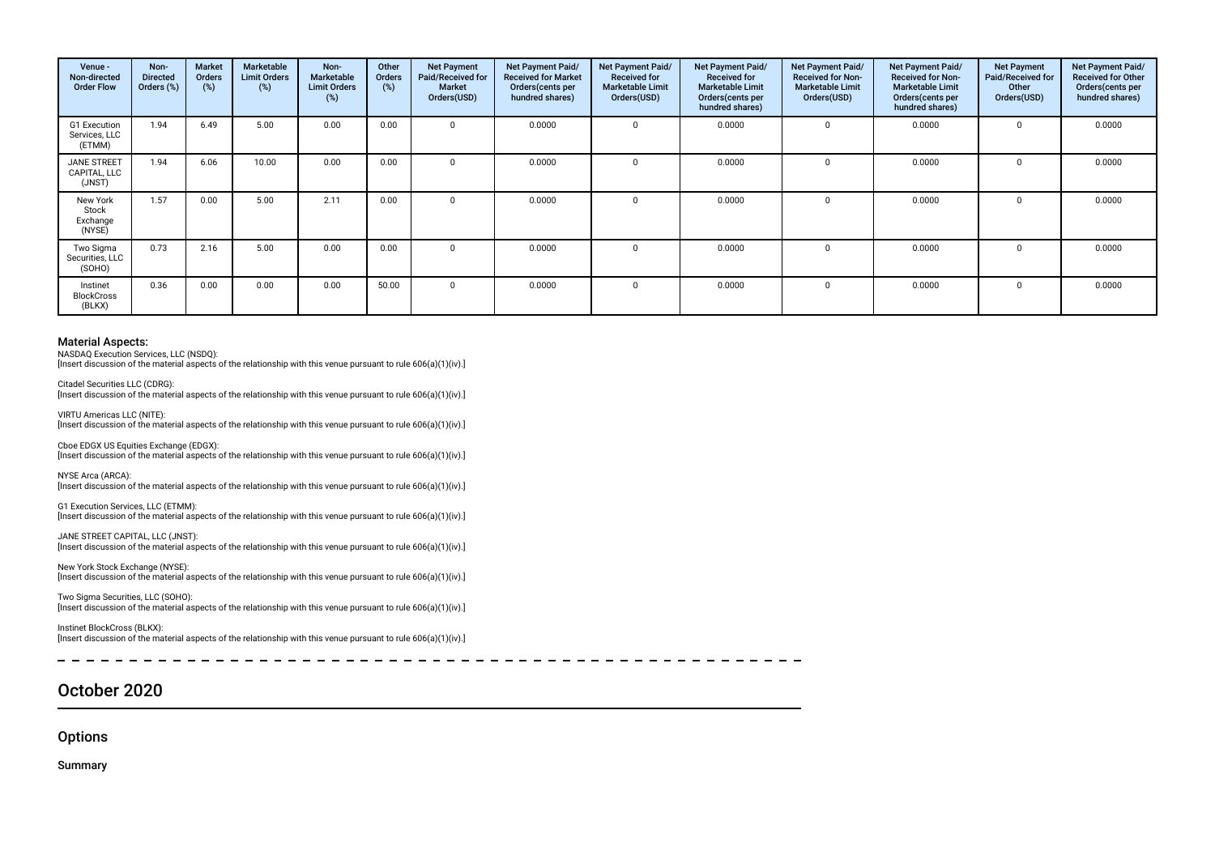| Venue -<br>Non-directed<br><b>Order Flow</b>   | Non-<br><b>Directed</b><br>Orders (%) | <b>Market</b><br><b>Orders</b><br>(%) | Marketable<br><b>Limit Orders</b><br>(%) | Non-<br>Marketable<br><b>Limit Orders</b><br>(%) | Other<br>Orders<br>(%) | <b>Net Payment</b><br>Paid/Received for<br><b>Market</b><br>Orders(USD) | Net Payment Paid/<br><b>Received for Market</b><br>Orders (cents per<br>hundred shares) | Net Payment Paid/<br><b>Received for</b><br><b>Marketable Limit</b><br>Orders(USD) | Net Payment Paid/<br><b>Received for</b><br><b>Marketable Limit</b><br>Orders(cents per<br>hundred shares) | Net Payment Paid/<br><b>Received for Non-</b><br><b>Marketable Limit</b><br>Orders(USD) | Net Payment Paid/<br><b>Received for Non-</b><br><b>Marketable Limit</b><br>Orders(cents per<br>hundred shares) | <b>Net Payment</b><br>Paid/Received for<br>Other<br>Orders(USD) | Net Payment Paid/<br><b>Received for Other</b><br>Orders(cents per<br>hundred shares) |
|------------------------------------------------|---------------------------------------|---------------------------------------|------------------------------------------|--------------------------------------------------|------------------------|-------------------------------------------------------------------------|-----------------------------------------------------------------------------------------|------------------------------------------------------------------------------------|------------------------------------------------------------------------------------------------------------|-----------------------------------------------------------------------------------------|-----------------------------------------------------------------------------------------------------------------|-----------------------------------------------------------------|---------------------------------------------------------------------------------------|
| <b>G1 Execution</b><br>Services, LLC<br>(ETMM) | 1.94                                  | 6.49                                  | 5.00                                     | 0.00                                             | 0.00                   |                                                                         | 0.0000                                                                                  | $\Omega$                                                                           | 0.0000                                                                                                     |                                                                                         | 0.0000                                                                                                          | $\Omega$                                                        | 0.0000                                                                                |
| <b>JANE STREET</b><br>CAPITAL, LLC<br>(JNST)   | 1.94                                  | 6.06                                  | 10.00                                    | 0.00                                             | 0.00                   |                                                                         | 0.0000                                                                                  |                                                                                    | 0.0000                                                                                                     |                                                                                         | 0.0000                                                                                                          | $\Omega$                                                        | 0.0000                                                                                |
| New York<br>Stock<br>Exchange<br>(NYSE)        | 1.57                                  | 0.00                                  | 5.00                                     | 2.11                                             | 0.00                   |                                                                         | 0.0000                                                                                  |                                                                                    | 0.0000                                                                                                     |                                                                                         | 0.0000                                                                                                          | $\Omega$                                                        | 0.0000                                                                                |
| Two Sigma<br>Securities, LLC<br>(SOHO)         | 0.73                                  | 2.16                                  | 5.00                                     | 0.00                                             | 0.00                   |                                                                         | 0.0000                                                                                  |                                                                                    | 0.0000                                                                                                     |                                                                                         | 0.0000                                                                                                          | $\Omega$                                                        | 0.0000                                                                                |
| Instinet<br><b>BlockCross</b><br>(BLKX)        | 0.36                                  | 0.00                                  | 0.00                                     | 0.00                                             | 50.00                  |                                                                         | 0.0000                                                                                  |                                                                                    | 0.0000                                                                                                     |                                                                                         | 0.0000                                                                                                          | $\Omega$                                                        | 0.0000                                                                                |

NASDAQ Execution Services, LLC (NSDQ): [Insert discussion of the material aspects of the relationship with this venue pursuant to rule 606(a)(1)(iv).]

Citadel Securities LLC (CDRG):

[Insert discussion of the material aspects of the relationship with this venue pursuant to rule 606(a)(1)(iv).]

VIRTU Americas LLC (NITE): [Insert discussion of the material aspects of the relationship with this venue pursuant to rule 606(a)(1)(iv).]

Cboe EDGX US Equities Exchange (EDGX): [Insert discussion of the material aspects of the relationship with this venue pursuant to rule 606(a)(1)(iv).]

NYSE Arca (ARCA): [Insert discussion of the material aspects of the relationship with this venue pursuant to rule 606(a)(1)(iv).]

G1 Execution Services, LLC (ETMM): [Insert discussion of the material aspects of the relationship with this venue pursuant to rule 606(a)(1)(iv).]

JANE STREET CAPITAL, LLC (JNST): [Insert discussion of the material aspects of the relationship with this venue pursuant to rule 606(a)(1)(iv).]

New York Stock Exchange (NYSE): [Insert discussion of the material aspects of the relationship with this venue pursuant to rule 606(a)(1)(iv).]

Two Sigma Securities, LLC (SOHO): [Insert discussion of the material aspects of the relationship with this venue pursuant to rule 606(a)(1)(iv).]

Instinet BlockCross (BLKX): [Insert discussion of the material aspects of the relationship with this venue pursuant to rule 606(a)(1)(iv).]

## October 2020

**Options** 

Summary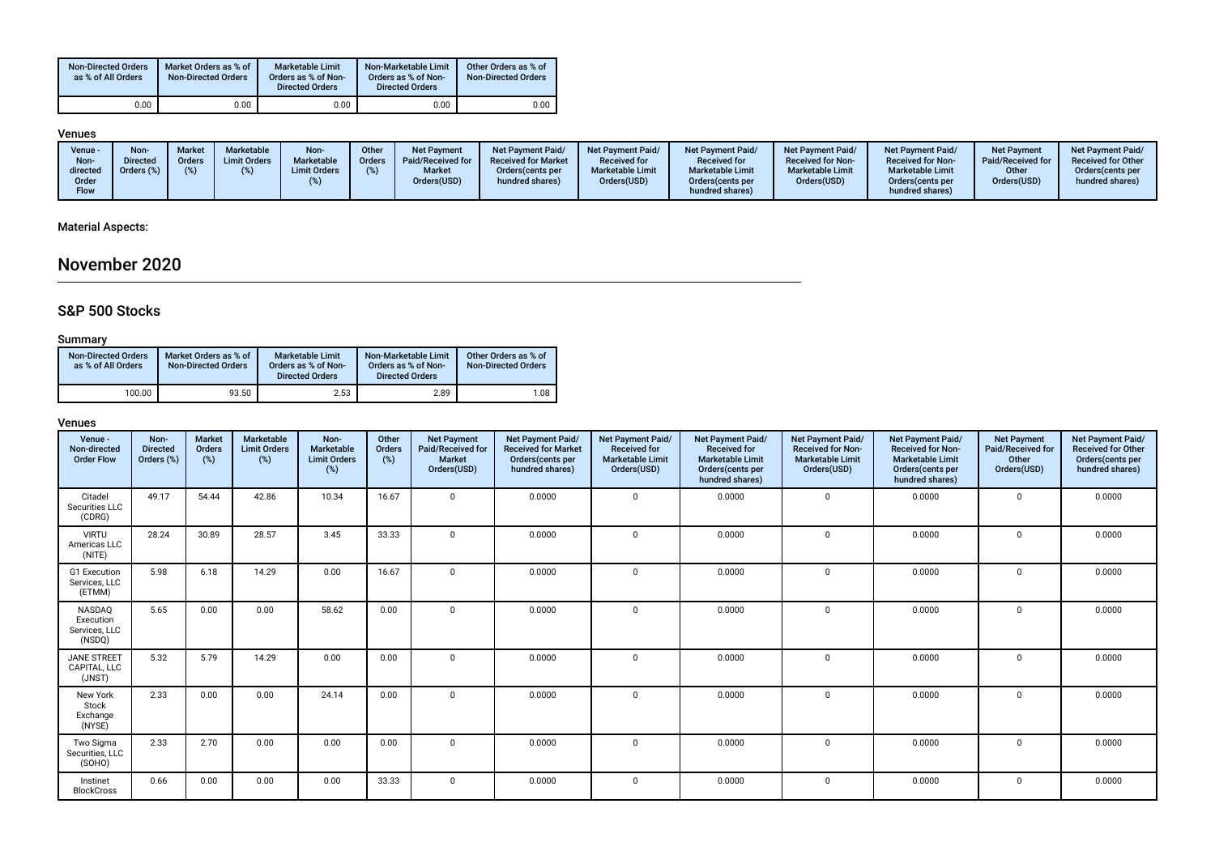| <b>Non-Directed Orders</b><br>as % of All Orders | Market Orders as % of<br><b>Non-Directed Orders</b> | <b>Marketable Limit</b><br>Orders as % of Non-<br><b>Directed Orders</b> | Non-Marketable Limit<br>Orders as % of Non-<br><b>Directed Orders</b> | Other Orders as % of<br><b>Non-Directed Orders</b> |
|--------------------------------------------------|-----------------------------------------------------|--------------------------------------------------------------------------|-----------------------------------------------------------------------|----------------------------------------------------|
| 0.00                                             | 0.00                                                | 0.00                                                                     | $0.00\,$                                                              | 0.00                                               |

## Venues

| Venue -<br>Non-<br>directed<br>Order<br><b>Flow</b> | <b>Non</b><br><b>Directed</b><br>Orders (%) | <b>Marketable</b><br>Market<br><b>Limit Orders</b><br><b>Orders</b> | Non-<br>Marketable<br><b>Limit Orders</b> | Other<br>Orders | <b>Net Payment</b><br>Paid/Received for<br><b>Market</b><br>Orders(USD) | Net Payment Paid/<br><b>Received for Market</b><br>Orders (cents per<br>hundred shares) | <b>Net Payment Paid/</b><br><b>Received for</b><br><b>Marketable Limit</b><br>Orders(USD) | Net Payment Paid/<br><b>Received for</b><br><b>Marketable Limit</b><br>Orders (cents per<br>hundred shares) | <b>Net Payment Paid/</b><br><b>Received for Non-</b><br><b>Marketable Limit</b><br>Orders(USD) | <b>Net Payment Paid/</b><br><b>Received for Non-</b><br><b>Marketable Limit</b><br>Orders (cents per<br>hundred shares) | <b>Net Payment</b><br>Paid/Received for<br>Other<br>Orders(USD) | <b>Net Payment Paid/</b><br><b>Received for Other</b><br>Orders cents per<br>hundred shares) |
|-----------------------------------------------------|---------------------------------------------|---------------------------------------------------------------------|-------------------------------------------|-----------------|-------------------------------------------------------------------------|-----------------------------------------------------------------------------------------|-------------------------------------------------------------------------------------------|-------------------------------------------------------------------------------------------------------------|------------------------------------------------------------------------------------------------|-------------------------------------------------------------------------------------------------------------------------|-----------------------------------------------------------------|----------------------------------------------------------------------------------------------|
|-----------------------------------------------------|---------------------------------------------|---------------------------------------------------------------------|-------------------------------------------|-----------------|-------------------------------------------------------------------------|-----------------------------------------------------------------------------------------|-------------------------------------------------------------------------------------------|-------------------------------------------------------------------------------------------------------------|------------------------------------------------------------------------------------------------|-------------------------------------------------------------------------------------------------------------------------|-----------------------------------------------------------------|----------------------------------------------------------------------------------------------|

## Material Aspects:

## November 2020

## S&P 500 Stocks

### Summary

| <b>Non-Directed Orders</b><br>as % of All Orders | Market Orders as % of<br><b>Non-Directed Orders</b> | <b>Marketable Limit</b><br>Orders as % of Non-<br><b>Directed Orders</b> | Non-Marketable Limit<br>Orders as % of Non-<br><b>Directed Orders</b> | Other Orders as % of<br><b>Non-Directed Orders</b> |
|--------------------------------------------------|-----------------------------------------------------|--------------------------------------------------------------------------|-----------------------------------------------------------------------|----------------------------------------------------|
| 100.00                                           | 93.50                                               | 2.53                                                                     | 2.89                                                                  | 1.08                                               |

| Venue -<br>Non-directed<br><b>Order Flow</b>   | Non-<br><b>Directed</b><br>Orders (%) | <b>Market</b><br><b>Orders</b><br>(%) | Marketable<br><b>Limit Orders</b><br>(%) | Non-<br>Marketable<br><b>Limit Orders</b><br>(%) | Other<br>Orders<br>$(\%)$ | <b>Net Payment</b><br>Paid/Received for<br><b>Market</b><br>Orders(USD) | Net Payment Paid/<br><b>Received for Market</b><br>Orders(cents per<br>hundred shares) | Net Payment Paid/<br><b>Received for</b><br><b>Marketable Limit</b><br>Orders(USD) | <b>Net Payment Paid/</b><br><b>Received for</b><br><b>Marketable Limit</b><br>Orders(cents per<br>hundred shares) | Net Payment Paid/<br><b>Received for Non-</b><br><b>Marketable Limit</b><br>Orders(USD) | <b>Net Payment Paid/</b><br><b>Received for Non-</b><br><b>Marketable Limit</b><br>Orders(cents per<br>hundred shares) | <b>Net Payment</b><br>Paid/Received for<br>Other<br>Orders(USD) | Net Payment Paid/<br><b>Received for Other</b><br>Orders(cents per<br>hundred shares) |
|------------------------------------------------|---------------------------------------|---------------------------------------|------------------------------------------|--------------------------------------------------|---------------------------|-------------------------------------------------------------------------|----------------------------------------------------------------------------------------|------------------------------------------------------------------------------------|-------------------------------------------------------------------------------------------------------------------|-----------------------------------------------------------------------------------------|------------------------------------------------------------------------------------------------------------------------|-----------------------------------------------------------------|---------------------------------------------------------------------------------------|
| Citadel<br>Securities LLC<br>(CDRG)            | 49.17                                 | 54.44                                 | 42.86                                    | 10.34                                            | 16.67                     | $\Omega$                                                                | 0.0000                                                                                 | $\mathbf 0$                                                                        | 0.0000                                                                                                            | $\mathbf 0$                                                                             | 0.0000                                                                                                                 | $\mathbf 0$                                                     | 0.0000                                                                                |
| <b>VIRTU</b><br>Americas LLC<br>(NITE)         | 28.24                                 | 30.89                                 | 28.57                                    | 3.45                                             | 33.33                     | $\Omega$                                                                | 0.0000                                                                                 | $\mathbf 0$                                                                        | 0.0000                                                                                                            | $\mathbf 0$                                                                             | 0.0000                                                                                                                 | $\mathbf 0$                                                     | 0.0000                                                                                |
| G1 Execution<br>Services, LLC<br>(ETMM)        | 5.98                                  | 6.18                                  | 14.29                                    | 0.00                                             | 16.67                     | $\Omega$                                                                | 0.0000                                                                                 | $\Omega$                                                                           | 0.0000                                                                                                            | $\mathbf 0$                                                                             | 0.0000                                                                                                                 | $\Omega$                                                        | 0.0000                                                                                |
| NASDAQ<br>Execution<br>Services. LLC<br>(NSDQ) | 5.65                                  | 0.00                                  | 0.00                                     | 58.62                                            | 0.00                      | $\Omega$                                                                | 0.0000                                                                                 | $\mathbf 0$                                                                        | 0.0000                                                                                                            | $\mathbf 0$                                                                             | 0.0000                                                                                                                 | $\Omega$                                                        | 0.0000                                                                                |
| <b>JANE STREET</b><br>CAPITAL, LLC<br>(JNST)   | 5.32                                  | 5.79                                  | 14.29                                    | 0.00                                             | 0.00                      | $\Omega$                                                                | 0.0000                                                                                 | $\Omega$                                                                           | 0.0000                                                                                                            | $\Omega$                                                                                | 0.0000                                                                                                                 | $\Omega$                                                        | 0.0000                                                                                |
| New York<br>Stock<br>Exchange<br>(NYSE)        | 2.33                                  | 0.00                                  | 0.00                                     | 24.14                                            | 0.00                      | $\Omega$                                                                | 0.0000                                                                                 | $\mathbf 0$                                                                        | 0.0000                                                                                                            | $\mathbf 0$                                                                             | 0.0000                                                                                                                 | $\mathbf 0$                                                     | 0.0000                                                                                |
| Two Sigma<br>Securities, LLC<br>(SOHO)         | 2.33                                  | 2.70                                  | 0.00                                     | 0.00                                             | 0.00                      | $\Omega$                                                                | 0.0000                                                                                 | $\mathbf 0$                                                                        | 0.0000                                                                                                            | $\mathbf 0$                                                                             | 0.0000                                                                                                                 | $\Omega$                                                        | 0.0000                                                                                |
| Instinet<br><b>BlockCross</b>                  | 0.66                                  | 0.00                                  | 0.00                                     | 0.00                                             | 33.33                     | $\Omega$                                                                | 0.0000                                                                                 | $\Omega$                                                                           | 0.0000                                                                                                            | 0                                                                                       | 0.0000                                                                                                                 | $\Omega$                                                        | 0.0000                                                                                |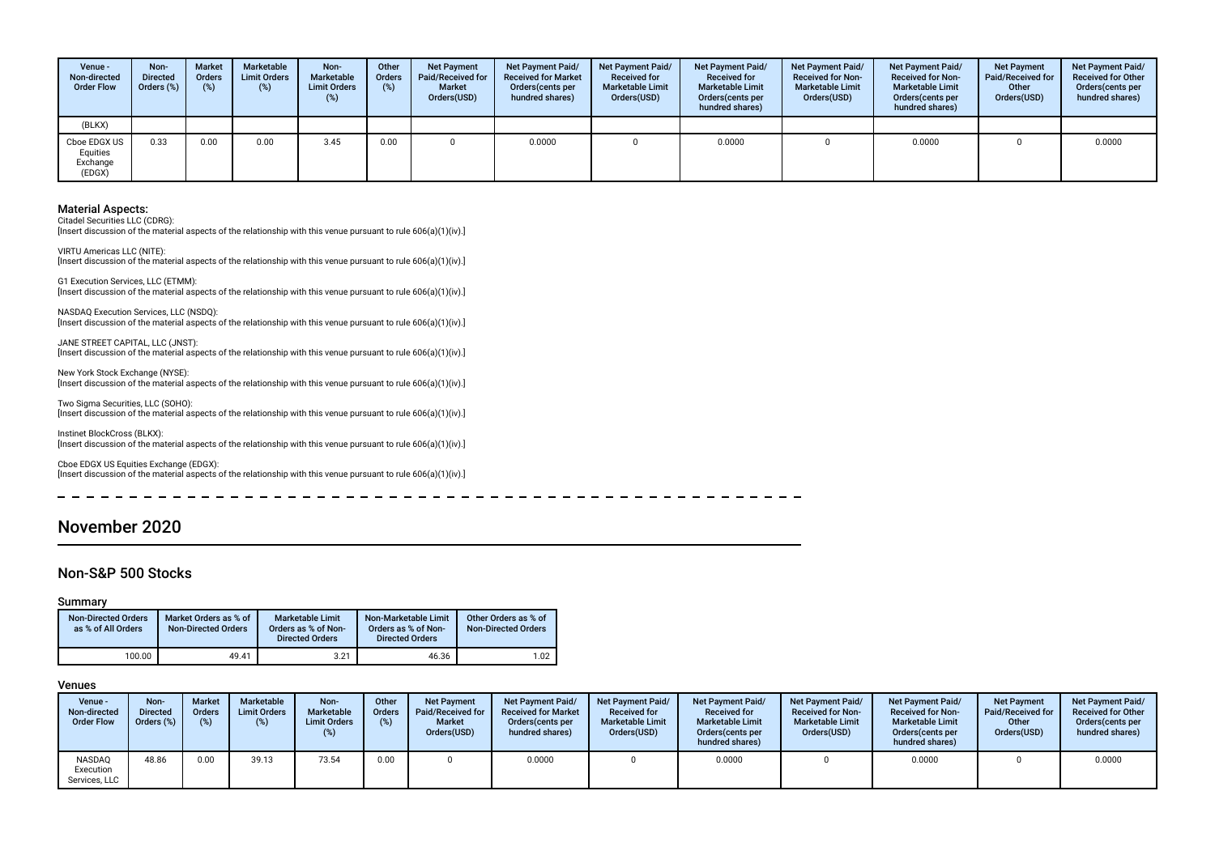| Venue -<br>Non-directed<br><b>Order Flow</b>   | Non-<br><b>Directed</b><br>Orders (%) | <b>Market</b><br>Orders<br>(%) | Marketable<br><b>Limit Orders</b><br>$(\%)$ | Non-<br><b>Marketable</b><br><b>Limit Orders</b><br>(%) | Other<br>Orders<br>(%) | <b>Net Payment</b><br>Paid/Received for<br><b>Market</b><br>Orders(USD) | Net Payment Paid/<br><b>Received for Market</b><br>Orders (cents per<br>hundred shares) | <b>Net Payment Paid/</b><br><b>Received for</b><br><b>Marketable Limit</b><br>Orders(USD) | Net Payment Paid/<br><b>Received for</b><br><b>Marketable Limit</b><br>Orders (cents per<br>hundred shares) | <b>Net Payment Paid/</b><br><b>Received for Non-</b><br><b>Marketable Limit</b><br>Orders(USD) | <b>Net Payment Paid/</b><br><b>Received for Non-</b><br><b>Marketable Limit</b><br>Orders(cents per<br>hundred shares) | <b>Net Payment</b><br>Paid/Received for<br>Other<br>Orders(USD) | Net Payment Paid/<br><b>Received for Other</b><br>Orders(cents per<br>hundred shares) |
|------------------------------------------------|---------------------------------------|--------------------------------|---------------------------------------------|---------------------------------------------------------|------------------------|-------------------------------------------------------------------------|-----------------------------------------------------------------------------------------|-------------------------------------------------------------------------------------------|-------------------------------------------------------------------------------------------------------------|------------------------------------------------------------------------------------------------|------------------------------------------------------------------------------------------------------------------------|-----------------------------------------------------------------|---------------------------------------------------------------------------------------|
| (BLKX)                                         |                                       |                                |                                             |                                                         |                        |                                                                         |                                                                                         |                                                                                           |                                                                                                             |                                                                                                |                                                                                                                        |                                                                 |                                                                                       |
| Cboe EDGX US<br>Equities<br>Exchange<br>(EDGX) | 0.33                                  | 0.00                           | 0.00                                        | 3.45                                                    | 0.00                   |                                                                         | 0.0000                                                                                  |                                                                                           | 0.0000                                                                                                      |                                                                                                | 0.0000                                                                                                                 |                                                                 | 0.0000                                                                                |

Citadel Securities LLC (CDRG):

[Insert discussion of the material aspects of the relationship with this venue pursuant to rule 606(a)(1)(iv).]

VIRTU Americas LLC (NITE): [Insert discussion of the material aspects of the relationship with this venue pursuant to rule 606(a)(1)(iv).]

G1 Execution Services, LLC (ETMM): [Insert discussion of the material aspects of the relationship with this venue pursuant to rule 606(a)(1)(iv).]

NASDAQ Execution Services, LLC (NSDQ): [Insert discussion of the material aspects of the relationship with this venue pursuant to rule 606(a)(1)(iv).]

JANE STREET CAPITAL, LLC (JNST): [Insert discussion of the material aspects of the relationship with this venue pursuant to rule 606(a)(1)(iv).]

New York Stock Exchange (NYSE): [Insert discussion of the material aspects of the relationship with this venue pursuant to rule 606(a)(1)(iv).]

Two Sigma Securities, LLC (SOHO): [Insert discussion of the material aspects of the relationship with this venue pursuant to rule 606(a)(1)(iv).]

Instinet BlockCross (BLKX):  $\frac{1}{2}$  [Insert discussion of the material aspects of the relationship with this venue pursuant to rule 606(a)(1)(iv).]

Cboe EDGX US Equities Exchange (EDGX): [Insert discussion of the material aspects of the relationship with this venue pursuant to rule 606(a)(1)(iv).]

November 2020

### Non-S&P 500 Stocks

### Summary

| <b>Non-Directed Orders</b><br>as % of All Orders | Market Orders as % of<br><b>Non-Directed Orders</b> | Marketable Limit<br>Orders as % of Non-<br><b>Directed Orders</b> | Non-Marketable Limit<br>Orders as % of Non-<br><b>Directed Orders</b> | Other Orders as % of<br><b>Non-Directed Orders</b> |
|--------------------------------------------------|-----------------------------------------------------|-------------------------------------------------------------------|-----------------------------------------------------------------------|----------------------------------------------------|
| 100.00                                           | 49.41                                               | 3.21                                                              | 46.36                                                                 | 1.02                                               |

| <b>Venue -</b><br>Non-directed<br><b>Order Flow</b> | Non-<br><b>Directed</b><br>Orders (%) | <b>Market</b><br>Orders<br>(%) | Marketable<br><b>Limit Orders</b><br>(%) | Non-<br>Marketable<br><b>Limit Orders</b><br>(%) | Other<br><b>Orders</b><br>(%) | <b>Net Payment</b><br>Paid/Received for<br><b>Market</b><br>Orders(USD) | Net Payment Paid/<br><b>Received for Market</b><br>Orders (cents per<br>hundred shares) | <b>Net Payment Paid/</b><br><b>Received for</b><br><b>Marketable Limit</b><br>Orders(USD) | <b>Net Payment Paid/</b><br><b>Received for</b><br><b>Marketable Limit</b><br>Orders (cents per<br>hundred shares) | <b>Net Payment Paid/</b><br><b>Received for Non-</b><br><b>Marketable Limit</b><br>Orders(USD) | <b>Net Payment Paid/</b><br><b>Received for Non-</b><br><b>Marketable Limit</b><br>Orders (cents per<br>hundred shares) | <b>Net Payment</b><br>Paid/Received for<br>Other<br>Orders(USD) | Net Payment Paid/<br><b>Received for Other</b><br>Orders (cents per<br>hundred shares) |
|-----------------------------------------------------|---------------------------------------|--------------------------------|------------------------------------------|--------------------------------------------------|-------------------------------|-------------------------------------------------------------------------|-----------------------------------------------------------------------------------------|-------------------------------------------------------------------------------------------|--------------------------------------------------------------------------------------------------------------------|------------------------------------------------------------------------------------------------|-------------------------------------------------------------------------------------------------------------------------|-----------------------------------------------------------------|----------------------------------------------------------------------------------------|
| NASDAO<br>Execution<br>Services, LLC                | 48.86                                 | 0.00                           | 39.13                                    | 73.54                                            | 0.00                          |                                                                         | 0.0000                                                                                  |                                                                                           | 0.0000                                                                                                             |                                                                                                | 0.0000                                                                                                                  |                                                                 | 0.0000                                                                                 |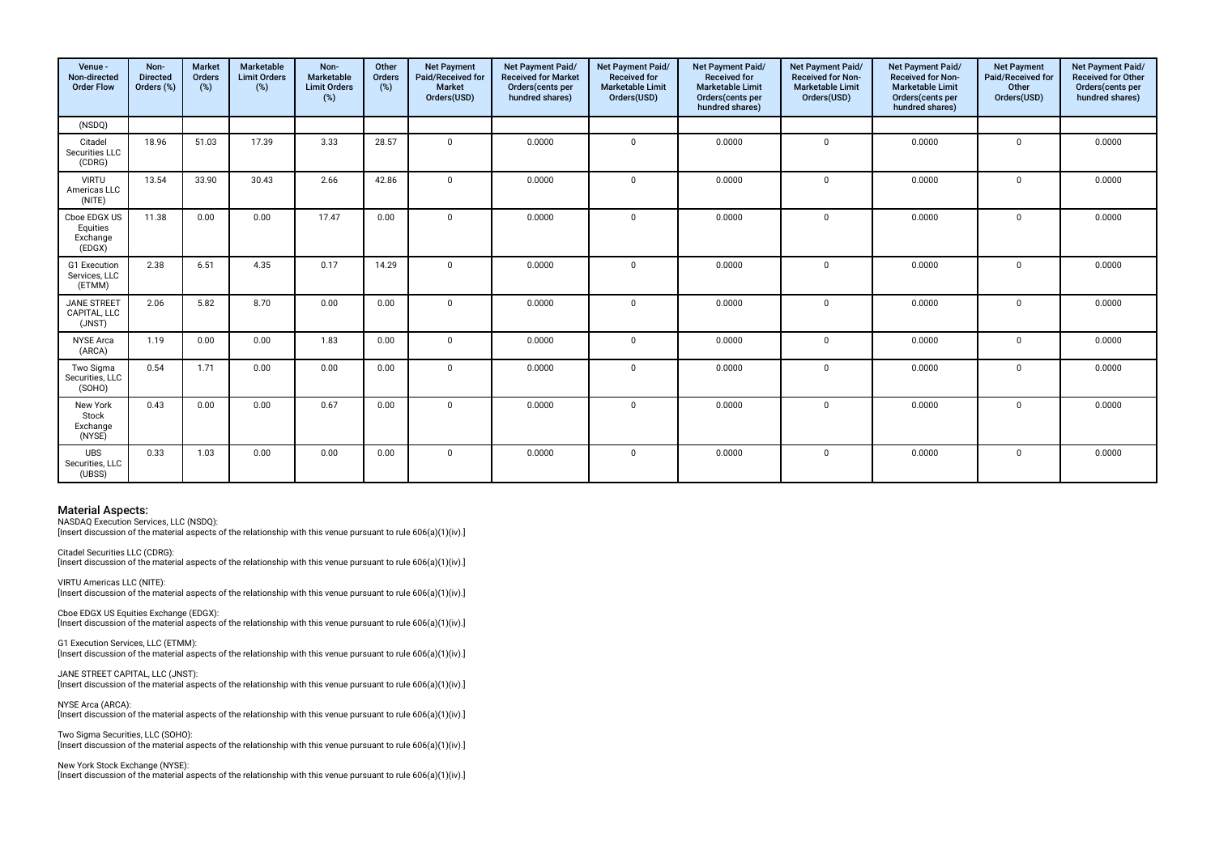| Venue -<br>Non-directed<br><b>Order Flow</b>   | Non-<br><b>Directed</b><br>Orders (%) | <b>Market</b><br>Orders<br>(%) | Marketable<br><b>Limit Orders</b><br>(%) | Non-<br>Marketable<br><b>Limit Orders</b><br>(%) | Other<br>Orders<br>(%) | <b>Net Payment</b><br>Paid/Received for<br><b>Market</b><br>Orders(USD) | Net Payment Paid/<br><b>Received for Market</b><br>Orders(cents per<br>hundred shares) | Net Payment Paid/<br><b>Received for</b><br><b>Marketable Limit</b><br>Orders(USD) | Net Payment Paid/<br><b>Received for</b><br><b>Marketable Limit</b><br>Orders(cents per<br>hundred shares) | Net Payment Paid/<br><b>Received for Non-</b><br><b>Marketable Limit</b><br>Orders(USD) | Net Payment Paid/<br>Received for Non-<br><b>Marketable Limit</b><br>Orders(cents per<br>hundred shares) | <b>Net Payment</b><br>Paid/Received for<br>Other<br>Orders(USD) | Net Payment Paid/<br><b>Received for Other</b><br>Orders(cents per<br>hundred shares) |
|------------------------------------------------|---------------------------------------|--------------------------------|------------------------------------------|--------------------------------------------------|------------------------|-------------------------------------------------------------------------|----------------------------------------------------------------------------------------|------------------------------------------------------------------------------------|------------------------------------------------------------------------------------------------------------|-----------------------------------------------------------------------------------------|----------------------------------------------------------------------------------------------------------|-----------------------------------------------------------------|---------------------------------------------------------------------------------------|
| (NSDQ)                                         |                                       |                                |                                          |                                                  |                        |                                                                         |                                                                                        |                                                                                    |                                                                                                            |                                                                                         |                                                                                                          |                                                                 |                                                                                       |
| Citadel<br>Securities LLC<br>(CDRG)            | 18.96                                 | 51.03                          | 17.39                                    | 3.33                                             | 28.57                  | $\overline{0}$                                                          | 0.0000                                                                                 | $\mathbf 0$                                                                        | 0.0000                                                                                                     | $\mathbf 0$                                                                             | 0.0000                                                                                                   | $\Omega$                                                        | 0.0000                                                                                |
| <b>VIRTU</b><br>Americas LLC<br>(NITE)         | 13.54                                 | 33.90                          | 30.43                                    | 2.66                                             | 42.86                  | $\Omega$                                                                | 0.0000                                                                                 | $\Omega$                                                                           | 0.0000                                                                                                     | $\mathbf 0$                                                                             | 0.0000                                                                                                   | $\Omega$                                                        | 0.0000                                                                                |
| Cboe EDGX US<br>Equities<br>Exchange<br>(EDGX) | 11.38                                 | 0.00                           | 0.00                                     | 17.47                                            | 0.00                   | $\Omega$                                                                | 0.0000                                                                                 | $\Omega$                                                                           | 0.0000                                                                                                     | 0                                                                                       | 0.0000                                                                                                   | $\Omega$                                                        | 0.0000                                                                                |
| G1 Execution<br>Services, LLC<br>(ETMM)        | 2.38                                  | 6.51                           | 4.35                                     | 0.17                                             | 14.29                  | $\mathbf 0$                                                             | 0.0000                                                                                 | $\Omega$                                                                           | 0.0000                                                                                                     | $\mathbf 0$                                                                             | 0.0000                                                                                                   | $\Omega$                                                        | 0.0000                                                                                |
| <b>JANE STREET</b><br>CAPITAL. LLC<br>(JNST)   | 2.06                                  | 5.82                           | 8.70                                     | 0.00                                             | 0.00                   | $\Omega$                                                                | 0.0000                                                                                 | $\Omega$                                                                           | 0.0000                                                                                                     | $\mathbf 0$                                                                             | 0.0000                                                                                                   | $\Omega$                                                        | 0.0000                                                                                |
| <b>NYSE Arca</b><br>(ARCA)                     | 1.19                                  | 0.00                           | 0.00                                     | 1.83                                             | 0.00                   | $\overline{0}$                                                          | 0.0000                                                                                 | $\mathbf 0$                                                                        | 0.0000                                                                                                     | $\mathbf 0$                                                                             | 0.0000                                                                                                   | $\mathbf 0$                                                     | 0.0000                                                                                |
| Two Sigma<br>Securities, LLC<br>(SOHO)         | 0.54                                  | 1.71                           | 0.00                                     | 0.00                                             | 0.00                   | $\Omega$                                                                | 0.0000                                                                                 | $\Omega$                                                                           | 0.0000                                                                                                     | $\mathbf 0$                                                                             | 0.0000                                                                                                   | $\Omega$                                                        | 0.0000                                                                                |
| New York<br>Stock<br>Exchange<br>(NYSE)        | 0.43                                  | 0.00                           | 0.00                                     | 0.67                                             | 0.00                   | $\Omega$                                                                | 0.0000                                                                                 | $\Omega$                                                                           | 0.0000                                                                                                     | 0                                                                                       | 0.0000                                                                                                   | $\Omega$                                                        | 0.0000                                                                                |
| <b>UBS</b><br>Securities, LLC<br>(UBSS)        | 0.33                                  | 1.03                           | 0.00                                     | 0.00                                             | 0.00                   | $\mathbf{0}$                                                            | 0.0000                                                                                 | $\mathbf 0$                                                                        | 0.0000                                                                                                     | $\mathbf 0$                                                                             | 0.0000                                                                                                   | $\Omega$                                                        | 0.0000                                                                                |

NASDAQ Execution Services, LLC (NSDQ):

[Insert discussion of the material aspects of the relationship with this venue pursuant to rule 606(a)(1)(iv).]

Citadel Securities LLC (CDRG): [Insert discussion of the material aspects of the relationship with this venue pursuant to rule 606(a)(1)(iv).]

VIRTU Americas LLC (NITE):  $\lim$  insert discussion of the material aspects of the relationship with this venue pursuant to rule 606(a)(1)(iv).

Cboe EDGX US Equities Exchange (EDGX): [Insert discussion of the material aspects of the relationship with this venue pursuant to rule 606(a)(1)(iv).]

G1 Execution Services, LLC (ETMM): [Insert discussion of the material aspects of the relationship with this venue pursuant to rule 606(a)(1)(iv).]

JANE STREET CAPITAL, LLC (JNST): [Insert discussion of the material aspects of the relationship with this venue pursuant to rule 606(a)(1)(iv).]

NYSE Arca (ARCA): [Insert discussion of the material aspects of the relationship with this venue pursuant to rule 606(a)(1)(iv).]

Two Sigma Securities, LLC (SOHO): [Insert discussion of the material aspects of the relationship with this venue pursuant to rule 606(a)(1)(iv).]

New York Stock Exchange (NYSE): [Insert discussion of the material aspects of the relationship with this venue pursuant to rule 606(a)(1)(iv).]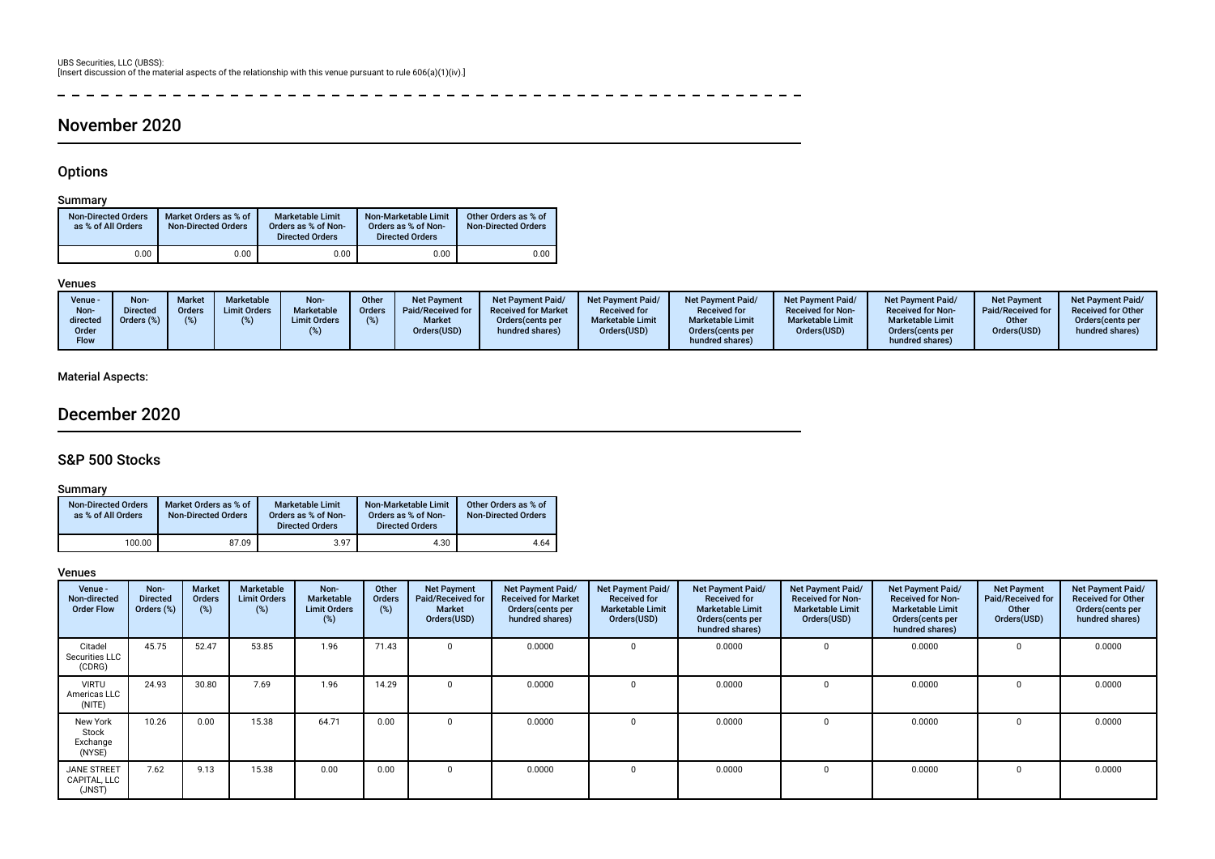### χ.  $\sim$  $\overline{a}$  $\overline{\phantom{a}}$ **Contract**  $\sim$   $\sim$

## November 2020

## **Options**

## Summary

| <b>Non-Directed Orders</b><br>as % of All Orders | Market Orders as % of<br><b>Non-Directed Orders</b> | <b>Marketable Limit</b><br>Orders as % of Non-<br><b>Directed Orders</b> | Non-Marketable Limit<br>Orders as % of Non-<br><b>Directed Orders</b> | Other Orders as % of<br><b>Non-Directed Orders</b> |
|--------------------------------------------------|-----------------------------------------------------|--------------------------------------------------------------------------|-----------------------------------------------------------------------|----------------------------------------------------|
| 0.00                                             | 0.00                                                | 0.00                                                                     | 0.00                                                                  | 0.00                                               |

### Venues

| Venue -<br>Non-<br>directed<br>Order<br>Flow | Non-<br><b>Directed</b><br>Orders (%) | <b>Market</b><br><b>Orders</b><br>(%) | Marketable<br><b>Limit Orders</b> | Non-<br>Marketable<br><b>Limit Orders</b> | Other<br><b>Orders</b> | <b>Net Payment</b><br>Paid/Received for<br><b>Market</b><br>Orders(USD) | <b>Net Payment Paid/</b><br><b>Received for Market</b><br>Orders (cents per<br>hundred shares) | <b>Net Payment Paid/</b><br><b>Received for</b><br><b>Marketable Limit</b><br>Orders(USD) | <b>Net Payment Paid/</b><br><b>Received for</b><br><b>Marketable Limit</b><br>Orders (cents per<br>hundred shares) | <b>Net Payment Paid/</b><br><b>Received for Non-</b><br><b>Marketable Limit</b><br>Orders(USD) | <b>Net Payment Paid/</b><br><b>Received for Non-</b><br><b>Marketable Limit</b><br>Orders (cents per<br>hundred shares) | <b>Net Payment</b><br>Paid/Received for<br>Other<br>Orders(USD) | Net Payment Paid/<br><b>Received for Other</b><br>Orders(cents per<br>hundred shares) |
|----------------------------------------------|---------------------------------------|---------------------------------------|-----------------------------------|-------------------------------------------|------------------------|-------------------------------------------------------------------------|------------------------------------------------------------------------------------------------|-------------------------------------------------------------------------------------------|--------------------------------------------------------------------------------------------------------------------|------------------------------------------------------------------------------------------------|-------------------------------------------------------------------------------------------------------------------------|-----------------------------------------------------------------|---------------------------------------------------------------------------------------|
|----------------------------------------------|---------------------------------------|---------------------------------------|-----------------------------------|-------------------------------------------|------------------------|-------------------------------------------------------------------------|------------------------------------------------------------------------------------------------|-------------------------------------------------------------------------------------------|--------------------------------------------------------------------------------------------------------------------|------------------------------------------------------------------------------------------------|-------------------------------------------------------------------------------------------------------------------------|-----------------------------------------------------------------|---------------------------------------------------------------------------------------|

## Material Aspects:

## December 2020

## S&P 500 Stocks

### Summary

| <b>Non-Directed Orders</b><br>as % of All Orders | Market Orders as % of<br><b>Non-Directed Orders</b> | <b>Marketable Limit</b><br>Orders as % of Non-<br><b>Directed Orders</b> | Non-Marketable Limit<br>Orders as % of Non-<br><b>Directed Orders</b> | Other Orders as % of<br><b>Non-Directed Orders</b> |
|--------------------------------------------------|-----------------------------------------------------|--------------------------------------------------------------------------|-----------------------------------------------------------------------|----------------------------------------------------|
| 100.00                                           | 87.09                                               | 3.97                                                                     | 4.30                                                                  | 4.64                                               |

| Venue -<br>Non-directed<br><b>Order Flow</b> | Non-<br><b>Directed</b><br>Orders (%) | Market<br><b>Orders</b><br>$(\%)$ | Marketable<br><b>Limit Orders</b><br>(%) | Non-<br>Marketable<br><b>Limit Orders</b><br>(%) | Other<br><b>Orders</b><br>(%) | <b>Net Payment</b><br>Paid/Received for<br><b>Market</b><br>Orders(USD) | Net Payment Paid/<br><b>Received for Market</b><br>Orders(cents per<br>hundred shares) | <b>Net Payment Paid/</b><br><b>Received for</b><br><b>Marketable Limit</b><br>Orders(USD) | Net Payment Paid/<br><b>Received for</b><br><b>Marketable Limit</b><br>Orders (cents per<br>hundred shares) | <b>Net Payment Paid/</b><br><b>Received for Non-</b><br><b>Marketable Limit</b><br>Orders(USD) | Net Payment Paid/<br><b>Received for Non-</b><br><b>Marketable Limit</b><br>Orders (cents per<br>hundred shares) | <b>Net Payment</b><br>Paid/Received for<br>Other<br>Orders(USD) | Net Payment Paid/<br><b>Received for Other</b><br>Orders(cents per<br>hundred shares) |
|----------------------------------------------|---------------------------------------|-----------------------------------|------------------------------------------|--------------------------------------------------|-------------------------------|-------------------------------------------------------------------------|----------------------------------------------------------------------------------------|-------------------------------------------------------------------------------------------|-------------------------------------------------------------------------------------------------------------|------------------------------------------------------------------------------------------------|------------------------------------------------------------------------------------------------------------------|-----------------------------------------------------------------|---------------------------------------------------------------------------------------|
| Citadel<br>Securities LLC<br>(CDRG)          | 45.75                                 | 52.47                             | 53.85                                    | 1.96                                             | 71.43                         |                                                                         | 0.0000                                                                                 |                                                                                           | 0.0000                                                                                                      |                                                                                                | 0.0000                                                                                                           |                                                                 | 0.0000                                                                                |
| <b>VIRTU</b><br>Americas LLC<br>(NITE)       | 24.93                                 | 30.80                             | 7.69                                     | 1.96                                             | 14.29                         |                                                                         | 0.0000                                                                                 |                                                                                           | 0.0000                                                                                                      | 0                                                                                              | 0.0000                                                                                                           |                                                                 | 0.0000                                                                                |
| New York<br>Stock<br>Exchange<br>(NYSE)      | 10.26                                 | 0.00                              | 15.38                                    | 64.71                                            | 0.00                          |                                                                         | 0.0000                                                                                 |                                                                                           | 0.0000                                                                                                      |                                                                                                | 0.0000                                                                                                           |                                                                 | 0.0000                                                                                |
| <b>JANE STREET</b><br>CAPITAL, LLC<br>(JNST) | 7.62                                  | 9.13                              | 15.38                                    | 0.00                                             | 0.00                          |                                                                         | 0.0000                                                                                 |                                                                                           | 0.0000                                                                                                      |                                                                                                | 0.0000                                                                                                           |                                                                 | 0.0000                                                                                |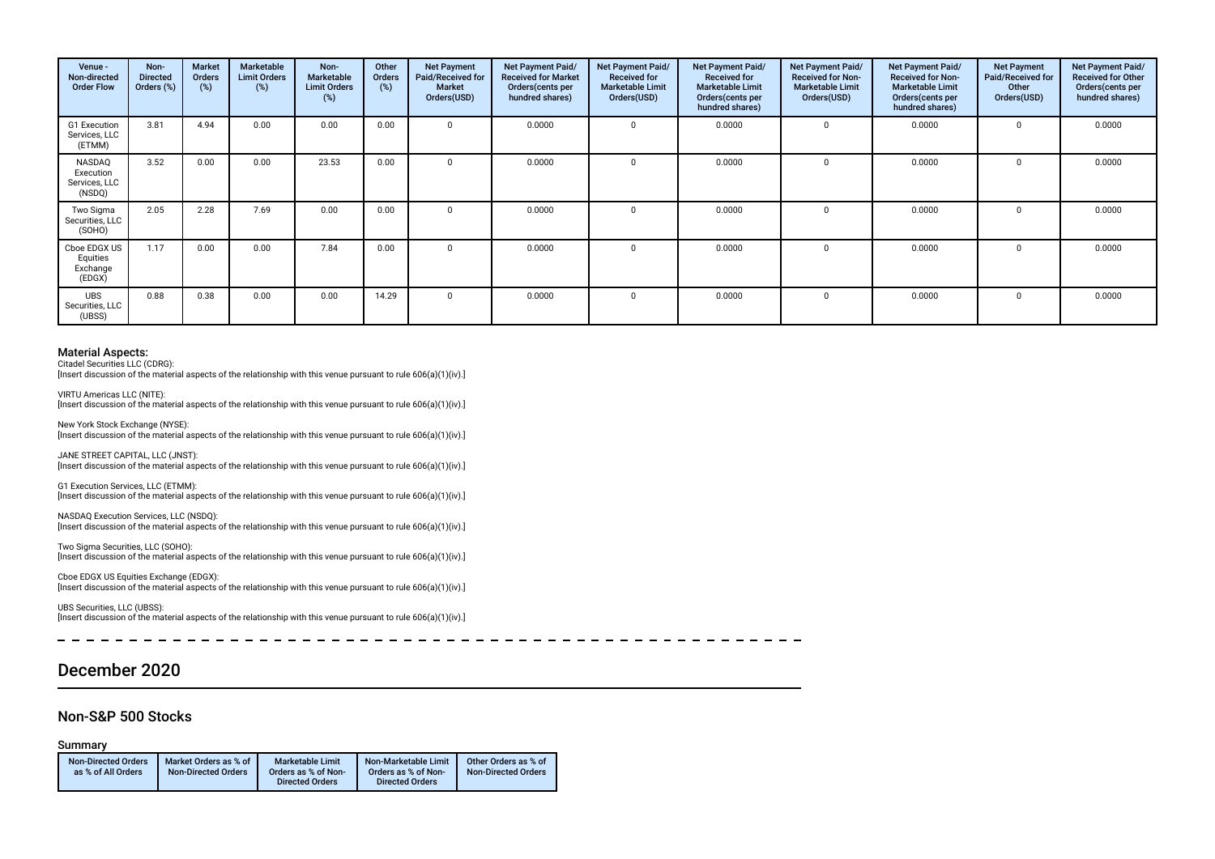| Venue -<br>Non-directed<br><b>Order Flow</b>   | Non-<br><b>Directed</b><br>Orders (%) | Market<br>Orders<br>$(\%)$ | Marketable<br><b>Limit Orders</b><br>$(\%)$ | Non-<br>Marketable<br><b>Limit Orders</b><br>(%) | Other<br><b>Orders</b><br>(%) | <b>Net Payment</b><br>Paid/Received for<br><b>Market</b><br>Orders(USD) | Net Payment Paid/<br><b>Received for Market</b><br>Orders(cents per<br>hundred shares) | Net Payment Paid/<br><b>Received for</b><br><b>Marketable Limit</b><br>Orders(USD) | Net Payment Paid/<br><b>Received for</b><br><b>Marketable Limit</b><br>Orders(cents per<br>hundred shares) | Net Payment Paid/<br><b>Received for Non-</b><br><b>Marketable Limit</b><br>Orders(USD) | Net Payment Paid/<br><b>Received for Non-</b><br><b>Marketable Limit</b><br>Orders (cents per<br>hundred shares) | <b>Net Payment</b><br>Paid/Received for<br>Other<br>Orders(USD) | Net Payment Paid/<br><b>Received for Other</b><br>Orders(cents per<br>hundred shares) |
|------------------------------------------------|---------------------------------------|----------------------------|---------------------------------------------|--------------------------------------------------|-------------------------------|-------------------------------------------------------------------------|----------------------------------------------------------------------------------------|------------------------------------------------------------------------------------|------------------------------------------------------------------------------------------------------------|-----------------------------------------------------------------------------------------|------------------------------------------------------------------------------------------------------------------|-----------------------------------------------------------------|---------------------------------------------------------------------------------------|
| G1 Execution<br>Services, LLC<br>(ETMM)        | 3.81                                  | 4.94                       | 0.00                                        | 0.00                                             | 0.00                          | $\mathbf 0$                                                             | 0.0000                                                                                 | $\Omega$                                                                           | 0.0000                                                                                                     | 0                                                                                       | 0.0000                                                                                                           | $\Omega$                                                        | 0.0000                                                                                |
| NASDAQ<br>Execution<br>Services, LLC<br>(NSDQ) | 3.52                                  | 0.00                       | 0.00                                        | 23.53                                            | 0.00                          | $\mathbf 0$                                                             | 0.0000                                                                                 | $\Omega$                                                                           | 0.0000                                                                                                     | $\mathbf 0$                                                                             | 0.0000                                                                                                           | $\Omega$                                                        | 0.0000                                                                                |
| Two Sigma<br>Securities, LLC<br>(SOHO)         | 2.05                                  | 2.28                       | 7.69                                        | 0.00                                             | 0.00                          | $\mathbf 0$                                                             | 0.0000                                                                                 | $\Omega$                                                                           | 0.0000                                                                                                     | 0                                                                                       | 0.0000                                                                                                           | $\Omega$                                                        | 0.0000                                                                                |
| Cboe EDGX US<br>Equities<br>Exchange<br>(EDGX) | 1.17                                  | 0.00                       | 0.00                                        | 7.84                                             | 0.00                          | $\mathbf 0$                                                             | 0.0000                                                                                 | $\Omega$                                                                           | 0.0000                                                                                                     | 0                                                                                       | 0.0000                                                                                                           | $\Omega$                                                        | 0.0000                                                                                |
| <b>UBS</b><br>Securities, LLC<br>(UBSS)        | 0.88                                  | 0.38                       | 0.00                                        | 0.00                                             | 14.29                         | $\mathbf 0$                                                             | 0.0000                                                                                 | $\Omega$                                                                           | 0.0000                                                                                                     | 0                                                                                       | 0.0000                                                                                                           | $\Omega$                                                        | 0.0000                                                                                |

Citadel Securities LLC (CDRG): [Insert discussion of the material aspects of the relationship with this venue pursuant to rule 606(a)(1)(iv).]

VIRTU Americas LLC (NITE): [Insert discussion of the material aspects of the relationship with this venue pursuant to rule 606(a)(1)(iv).]

New York Stock Exchange (NYSE): [Insert discussion of the material aspects of the relationship with this venue pursuant to rule 606(a)(1)(iv).]

JANE STREET CAPITAL, LLC (JNST): [Insert discussion of the material aspects of the relationship with this venue pursuant to rule 606(a)(1)(iv).]

G1 Execution Services, LLC (ETMM): [Insert discussion of the material aspects of the relationship with this venue pursuant to rule 606(a)(1)(iv).]

NASDAQ Execution Services, LLC (NSDQ): [Insert discussion of the material aspects of the relationship with this venue pursuant to rule 606(a)(1)(iv).]

Two Sigma Securities, LLC (SOHO): [Insert discussion of the material aspects of the relationship with this venue pursuant to rule 606(a)(1)(iv).]

Cboe EDGX US Equities Exchange (EDGX): [Insert discussion of the material aspects of the relationship with this venue pursuant to rule 606(a)(1)(iv).]

UBS Securities, LLC (UBSS): [Insert discussion of the material aspects of the relationship with this venue pursuant to rule 606(a)(1)(iv).]

## December 2020

### Non-S&P 500 Stocks

### Summary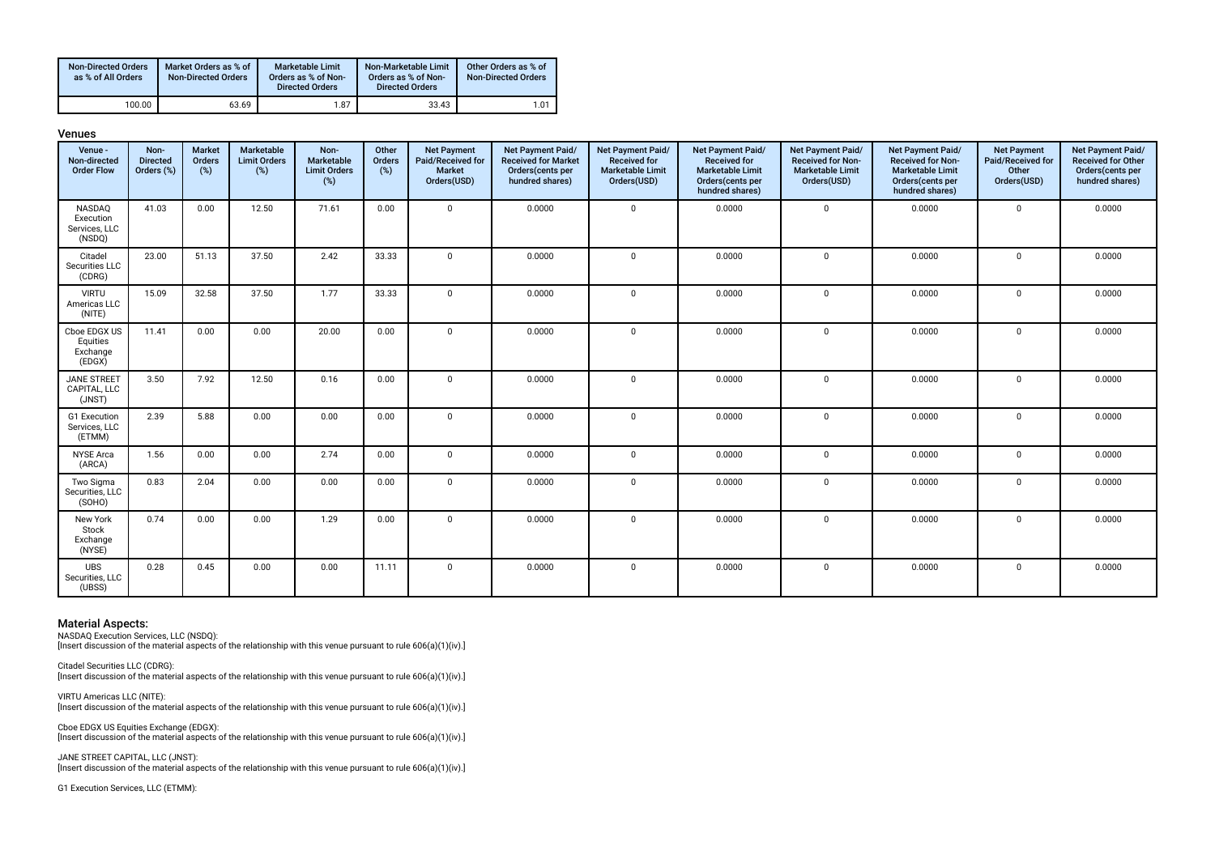| <b>Non-Directed Orders</b><br>as % of All Orders | Market Orders as % of<br><b>Non-Directed Orders</b> | Marketable Limit<br>Orders as % of Non-<br><b>Directed Orders</b> | Non-Marketable Limit<br>Orders as % of Non-<br><b>Directed Orders</b> | Other Orders as % of<br><b>Non-Directed Orders</b> |
|--------------------------------------------------|-----------------------------------------------------|-------------------------------------------------------------------|-----------------------------------------------------------------------|----------------------------------------------------|
| 100.00                                           | 63.69                                               | 1.87                                                              | 33.43                                                                 | 1.01                                               |

| enue<br>u |  |
|-----------|--|
|-----------|--|

| Venue -<br>Non-directed<br><b>Order Flow</b>   | Non-<br><b>Directed</b><br>Orders (%) | <b>Market</b><br>Orders<br>$(\%)$ | Marketable<br><b>Limit Orders</b><br>(%) | Non-<br>Marketable<br><b>Limit Orders</b><br>$(\%)$ | Other<br>Orders<br>(%) | <b>Net Payment</b><br>Paid/Received for<br><b>Market</b><br>Orders(USD) | Net Payment Paid/<br><b>Received for Market</b><br>Orders (cents per<br>hundred shares) | Net Payment Paid/<br><b>Received for</b><br><b>Marketable Limit</b><br>Orders(USD) | Net Payment Paid/<br><b>Received for</b><br><b>Marketable Limit</b><br>Orders(cents per<br>hundred shares) | Net Payment Paid/<br><b>Received for Non-</b><br><b>Marketable Limit</b><br>Orders(USD) | Net Payment Paid/<br><b>Received for Non-</b><br><b>Marketable Limit</b><br>Orders(cents per<br>hundred shares) | <b>Net Payment</b><br>Paid/Received for<br>Other<br>Orders(USD) | Net Payment Paid/<br><b>Received for Other</b><br>Orders(cents per<br>hundred shares) |
|------------------------------------------------|---------------------------------------|-----------------------------------|------------------------------------------|-----------------------------------------------------|------------------------|-------------------------------------------------------------------------|-----------------------------------------------------------------------------------------|------------------------------------------------------------------------------------|------------------------------------------------------------------------------------------------------------|-----------------------------------------------------------------------------------------|-----------------------------------------------------------------------------------------------------------------|-----------------------------------------------------------------|---------------------------------------------------------------------------------------|
| NASDAQ<br>Execution<br>Services, LLC<br>(NSDQ) | 41.03                                 | 0.00                              | 12.50                                    | 71.61                                               | 0.00                   | $\Omega$                                                                | 0.0000                                                                                  | $\Omega$                                                                           | 0.0000                                                                                                     | $\mathbf 0$                                                                             | 0.0000                                                                                                          | $\mathbf 0$                                                     | 0.0000                                                                                |
| Citadel<br>Securities LLC<br>(CDRG)            | 23.00                                 | 51.13                             | 37.50                                    | 2.42                                                | 33.33                  | $\mathbf 0$                                                             | 0.0000                                                                                  | $\Omega$                                                                           | 0.0000                                                                                                     | $\mathbf 0$                                                                             | 0.0000                                                                                                          | $\mathbf{0}$                                                    | 0.0000                                                                                |
| <b>VIRTU</b><br>Americas LLC<br>(NITE)         | 15.09                                 | 32.58                             | 37.50                                    | 1.77                                                | 33.33                  | $\mathbf{0}$                                                            | 0.0000                                                                                  | $\mathbf{0}$                                                                       | 0.0000                                                                                                     | $\mathbf 0$                                                                             | 0.0000                                                                                                          | $\mathbf{0}$                                                    | 0.0000                                                                                |
| Cboe EDGX US<br>Equities<br>Exchange<br>(EDGX) | 11.41                                 | 0.00                              | 0.00                                     | 20.00                                               | 0.00                   | $\mathbf 0$                                                             | 0.0000                                                                                  | $\mathbf{0}$                                                                       | 0.0000                                                                                                     | $\mathbf 0$                                                                             | 0.0000                                                                                                          | $\mathbf 0$                                                     | 0.0000                                                                                |
| <b>JANE STREET</b><br>CAPITAL, LLC<br>(JNST)   | 3.50                                  | 7.92                              | 12.50                                    | 0.16                                                | 0.00                   | $\mathbf{0}$                                                            | 0.0000                                                                                  | $\mathbf 0$                                                                        | 0.0000                                                                                                     | $\mathbf 0$                                                                             | 0.0000                                                                                                          | $\mathbf{0}$                                                    | 0.0000                                                                                |
| G1 Execution<br>Services, LLC<br>(ETMM)        | 2.39                                  | 5.88                              | 0.00                                     | 0.00                                                | 0.00                   | $\mathbf 0$                                                             | 0.0000                                                                                  | $\mathbf 0$                                                                        | 0.0000                                                                                                     | $\mathbf 0$                                                                             | 0.0000                                                                                                          | $\mathbf{0}$                                                    | 0.0000                                                                                |
| <b>NYSE Arca</b><br>(ARCA)                     | 1.56                                  | 0.00                              | 0.00                                     | 2.74                                                | 0.00                   | $\mathbf 0$                                                             | 0.0000                                                                                  | $\mathbf 0$                                                                        | 0.0000                                                                                                     | $\mathbf 0$                                                                             | 0.0000                                                                                                          | $\mathbf 0$                                                     | 0.0000                                                                                |
| Two Sigma<br>Securities, LLC<br>(SOHO)         | 0.83                                  | 2.04                              | 0.00                                     | 0.00                                                | 0.00                   | $\mathbf 0$                                                             | 0.0000                                                                                  | $\mathbf 0$                                                                        | 0.0000                                                                                                     | $\mathbf 0$                                                                             | 0.0000                                                                                                          | $\mathbf{0}$                                                    | 0.0000                                                                                |
| New York<br>Stock<br>Exchange<br>(NYSE)        | 0.74                                  | 0.00                              | 0.00                                     | 1.29                                                | 0.00                   | $\Omega$                                                                | 0.0000                                                                                  | $\Omega$                                                                           | 0.0000                                                                                                     | $\Omega$                                                                                | 0.0000                                                                                                          | $\mathbf 0$                                                     | 0.0000                                                                                |
| <b>UBS</b><br>Securities, LLC<br>(UBSS)        | 0.28                                  | 0.45                              | 0.00                                     | 0.00                                                | 11.11                  | $\mathbf 0$                                                             | 0.0000                                                                                  | $\mathbf 0$                                                                        | 0.0000                                                                                                     | $\mathbf 0$                                                                             | 0.0000                                                                                                          | $\mathbf{0}$                                                    | 0.0000                                                                                |

NASDAQ Execution Services, LLC (NSDQ): [Insert discussion of the material aspects of the relationship with this venue pursuant to rule 606(a)(1)(iv).]

Citadel Securities LLC (CDRG): [Insert discussion of the material aspects of the relationship with this venue pursuant to rule 606(a)(1)(iv).]

VIRTU Americas LLC (NITE): [Insert discussion of the material aspects of the relationship with this venue pursuant to rule 606(a)(1)(iv).]

Cboe EDGX US Equities Exchange (EDGX): [Insert discussion of the material aspects of the relationship with this venue pursuant to rule 606(a)(1)(iv).]

JANE STREET CAPITAL, LLC (JNST): [Insert discussion of the material aspects of the relationship with this venue pursuant to rule 606(a)(1)(iv).]

G1 Execution Services, LLC (ETMM):